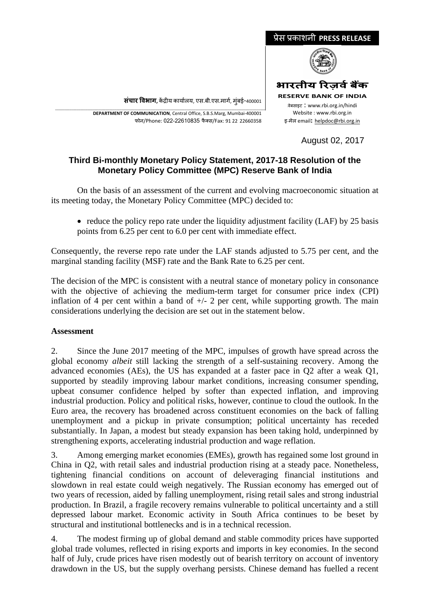

**संचार �वभाग,** क�द्र�य कायार्लय, एस.बी.एस.मागर्, मुंबई-400001

\_\_\_\_\_\_\_\_\_\_\_\_\_\_\_\_\_\_\_\_\_\_\_\_\_\_\_\_\_\_\_\_\_\_\_\_\_\_\_\_\_\_\_\_\_\_\_\_\_\_\_\_\_\_\_\_\_\_\_\_\_\_\_\_\_\_\_\_\_\_\_\_\_\_\_\_\_\_\_\_\_\_\_\_\_\_\_\_\_\_\_\_\_\_\_\_\_\_\_\_\_\_\_\_\_\_\_\_\_\_\_\_\_\_\_\_\_ **DEPARTMENT OF COMMUNICATION**, Central Office, S.B.S.Marg, Mumbai-400001 फोन/Phone: 022-22610835 फै क्स/Fax: 91 22 22660358

August 02, 2017

## **Third Bi-monthly Monetary Policy Statement, 2017-18 Resolution of the Monetary Policy Committee (MPC) Reserve Bank of India**

On the basis of an assessment of the current and evolving macroeconomic situation at its meeting today, the Monetary Policy Committee (MPC) decided to:

• reduce the policy repo rate under the liquidity adjustment facility (LAF) by 25 basis points from 6.25 per cent to 6.0 per cent with immediate effect.

Consequently, the reverse repo rate under the LAF stands adjusted to 5.75 per cent, and the marginal standing facility (MSF) rate and the Bank Rate to 6.25 per cent.

The decision of the MPC is consistent with a neutral stance of monetary policy in consonance with the objective of achieving the medium-term target for consumer price index (CPI) inflation of 4 per cent within a band of  $+/- 2$  per cent, while supporting growth. The main considerations underlying the decision are set out in the statement below.

## **Assessment**

2. Since the June 2017 meeting of the MPC, impulses of growth have spread across the global economy *albeit* still lacking the strength of a self-sustaining recovery. Among the advanced economies (AEs), the US has expanded at a faster pace in Q2 after a weak Q1, supported by steadily improving labour market conditions, increasing consumer spending, upbeat consumer confidence helped by softer than expected inflation, and improving industrial production. Policy and political risks, however, continue to cloud the outlook. In the Euro area, the recovery has broadened across constituent economies on the back of falling unemployment and a pickup in private consumption; political uncertainty has receded substantially. In Japan, a modest but steady expansion has been taking hold, underpinned by strengthening exports, accelerating industrial production and wage reflation.

3. Among emerging market economies (EMEs), growth has regained some lost ground in China in Q2, with retail sales and industrial production rising at a steady pace. Nonetheless, tightening financial conditions on account of deleveraging financial institutions and slowdown in real estate could weigh negatively. The Russian economy has emerged out of two years of recession, aided by falling unemployment, rising retail sales and strong industrial production. In Brazil, a fragile recovery remains vulnerable to political uncertainty and a still depressed labour market. Economic activity in South Africa continues to be beset by structural and institutional bottlenecks and is in a technical recession.

4. The modest firming up of global demand and stable commodity prices have supported global trade volumes, reflected in rising exports and imports in key economies. In the second half of July, crude prices have risen modestly out of bearish territory on account of inventory drawdown in the US, but the supply overhang persists. Chinese demand has fuelled a recent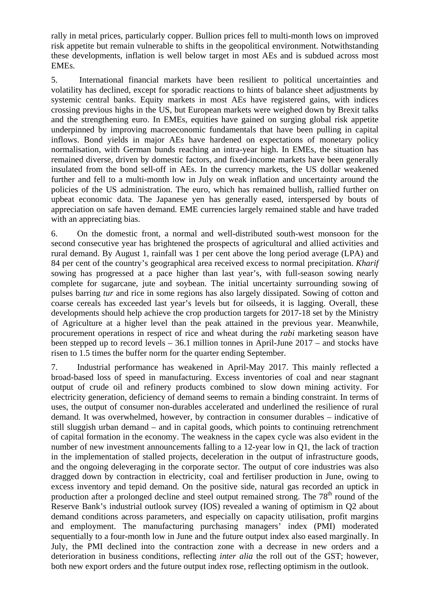rally in metal prices, particularly copper. Bullion prices fell to multi-month lows on improved risk appetite but remain vulnerable to shifts in the geopolitical environment. Notwithstanding these developments, inflation is well below target in most AEs and is subdued across most EMEs.

5. International financial markets have been resilient to political uncertainties and volatility has declined, except for sporadic reactions to hints of balance sheet adjustments by systemic central banks. Equity markets in most AEs have registered gains, with indices crossing previous highs in the US, but European markets were weighed down by Brexit talks and the strengthening euro. In EMEs, equities have gained on surging global risk appetite underpinned by improving macroeconomic fundamentals that have been pulling in capital inflows. Bond yields in major AEs have hardened on expectations of monetary policy normalisation, with German bunds reaching an intra-year high. In EMEs, the situation has remained diverse, driven by domestic factors, and fixed-income markets have been generally insulated from the bond sell-off in AEs. In the currency markets, the US dollar weakened further and fell to a multi-month low in July on weak inflation and uncertainty around the policies of the US administration. The euro, which has remained bullish, rallied further on upbeat economic data. The Japanese yen has generally eased, interspersed by bouts of appreciation on safe haven demand. EME currencies largely remained stable and have traded with an appreciating bias.

6. On the domestic front, a normal and well-distributed south-west monsoon for the second consecutive year has brightened the prospects of agricultural and allied activities and rural demand. By August 1, rainfall was 1 per cent above the long period average (LPA) and 84 per cent of the country's geographical area received excess to normal precipitation. *Kharif* sowing has progressed at a pace higher than last year's, with full-season sowing nearly complete for sugarcane, jute and soybean. The initial uncertainty surrounding sowing of pulses barring *tur* and rice in some regions has also largely dissipated. Sowing of cotton and coarse cereals has exceeded last year's levels but for oilseeds, it is lagging. Overall, these developments should help achieve the crop production targets for 2017-18 set by the Ministry of Agriculture at a higher level than the peak attained in the previous year. Meanwhile, procurement operations in respect of rice and wheat during the *rabi* marketing season have been stepped up to record levels – 36.1 million tonnes in April-June 2017 – and stocks have risen to 1.5 times the buffer norm for the quarter ending September.

7. Industrial performance has weakened in April-May 2017. This mainly reflected a broad-based loss of speed in manufacturing. Excess inventories of coal and near stagnant output of crude oil and refinery products combined to slow down mining activity. For electricity generation, deficiency of demand seems to remain a binding constraint. In terms of uses, the output of consumer non-durables accelerated and underlined the resilience of rural demand. It was overwhelmed, however, by contraction in consumer durables – indicative of still sluggish urban demand – and in capital goods, which points to continuing retrenchment of capital formation in the economy. The weakness in the capex cycle was also evident in the number of new investment announcements falling to a 12-year low in Q1, the lack of traction in the implementation of stalled projects, deceleration in the output of infrastructure goods, and the ongoing deleveraging in the corporate sector. The output of core industries was also dragged down by contraction in electricity, coal and fertiliser production in June, owing to excess inventory and tepid demand. On the positive side, natural gas recorded an uptick in production after a prolonged decline and steel output remained strong. The  $78<sup>th</sup>$  round of the Reserve Bank's industrial outlook survey (IOS) revealed a waning of optimism in Q2 about demand conditions across parameters, and especially on capacity utilisation, profit margins and employment. The manufacturing purchasing managers' index (PMI) moderated sequentially to a four-month low in June and the future output index also eased marginally. In July, the PMI declined into the contraction zone with a decrease in new orders and a deterioration in business conditions, reflecting *inter alia* the roll out of the GST; however, both new export orders and the future output index rose, reflecting optimism in the outlook.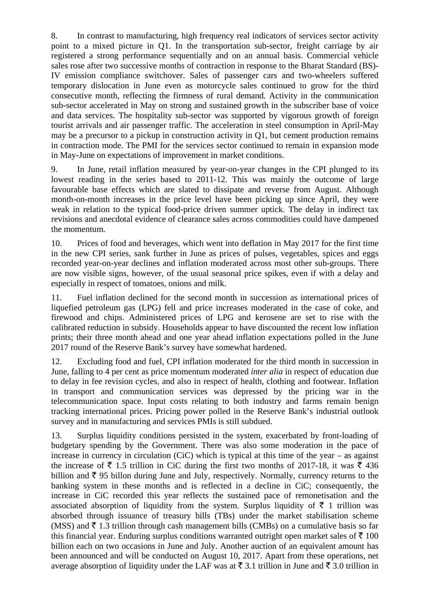8. In contrast to manufacturing, high frequency real indicators of services sector activity point to a mixed picture in Q1. In the transportation sub-sector, freight carriage by air registered a strong performance sequentially and on an annual basis. Commercial vehicle sales rose after two successive months of contraction in response to the Bharat Standard (BS)- IV emission compliance switchover. Sales of passenger cars and two-wheelers suffered temporary dislocation in June even as motorcycle sales continued to grow for the third consecutive month, reflecting the firmness of rural demand. Activity in the communication sub-sector accelerated in May on strong and sustained growth in the subscriber base of voice and data services. The hospitality sub-sector was supported by vigorous growth of foreign tourist arrivals and air passenger traffic. The acceleration in steel consumption in April-May may be a precursor to a pickup in construction activity in Q1, but cement production remains in contraction mode. The PMI for the services sector continued to remain in expansion mode in May-June on expectations of improvement in market conditions.

9. In June, retail inflation measured by year-on-year changes in the CPI plunged to its lowest reading in the series based to 2011-12. This was mainly the outcome of large favourable base effects which are slated to dissipate and reverse from August. Although month-on-month increases in the price level have been picking up since April, they were weak in relation to the typical food-price driven summer uptick. The delay in indirect tax revisions and anecdotal evidence of clearance sales across commodities could have dampened the momentum.

10. Prices of food and beverages, which went into deflation in May 2017 for the first time in the new CPI series, sank further in June as prices of pulses, vegetables, spices and eggs recorded year-on-year declines and inflation moderated across most other sub-groups. There are now visible signs, however, of the usual seasonal price spikes, even if with a delay and especially in respect of tomatoes, onions and milk.

11. Fuel inflation declined for the second month in succession as international prices of liquefied petroleum gas (LPG) fell and price increases moderated in the case of coke, and firewood and chips. Administered prices of LPG and kerosene are set to rise with the calibrated reduction in subsidy. Households appear to have discounted the recent low inflation prints; their three month ahead and one year ahead inflation expectations polled in the June 2017 round of the Reserve Bank's survey have somewhat hardened.

12. Excluding food and fuel, CPI inflation moderated for the third month in succession in June, falling to 4 per cent as price momentum moderated *inter alia* in respect of education due to delay in fee revision cycles, and also in respect of health, clothing and footwear. Inflation in transport and communication services was depressed by the pricing war in the telecommunication space. Input costs relating to both industry and farms remain benign tracking international prices. Pricing power polled in the Reserve Bank's industrial outlook survey and in manufacturing and services PMIs is still subdued.

13. Surplus liquidity conditions persisted in the system, exacerbated by front-loading of budgetary spending by the Government. There was also some moderation in the pace of increase in currency in circulation (CiC) which is typical at this time of the year – as against the increase of  $\bar{\tau}$  1.5 trillion in CiC during the first two months of 2017-18, it was  $\bar{\tau}$  436 billion and  $\bar{\tau}$  95 billon during June and July, respectively. Normally, currency returns to the banking system in these months and is reflected in a decline in CiC; consequently, the increase in CiC recorded this year reflects the sustained pace of remonetisation and the associated absorption of liquidity from the system. Surplus liquidity of  $\bar{\tau}$  1 trillion was absorbed through issuance of treasury bills (TBs) under the market stabilisation scheme (MSS) and  $\bar{\tau}$  1.3 trillion through cash management bills (CMBs) on a cumulative basis so far this financial year. Enduring surplus conditions warranted outright open market sales of  $\bar{\tau}$  100 billion each on two occasions in June and July. Another auction of an equivalent amount has been announced and will be conducted on August 10, 2017. Apart from these operations, net average absorption of liquidity under the LAF was at  $\bar{\tau}$  3.1 trillion in June and  $\bar{\tau}$  3.0 trillion in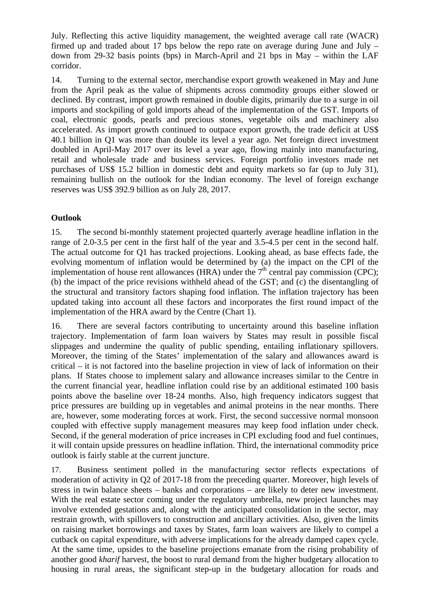July. Reflecting this active liquidity management, the weighted average call rate (WACR) firmed up and traded about 17 bps below the repo rate on average during June and July  $$ down from 29-32 basis points (bps) in March-April and 21 bps in May – within the LAF corridor.

14. Turning to the external sector, merchandise export growth weakened in May and June from the April peak as the value of shipments across commodity groups either slowed or declined. By contrast, import growth remained in double digits, primarily due to a surge in oil imports and stockpiling of gold imports ahead of the implementation of the GST. Imports of coal, electronic goods, pearls and precious stones, vegetable oils and machinery also accelerated. As import growth continued to outpace export growth, the trade deficit at US\$ 40.1 billion in Q1 was more than double its level a year ago. Net foreign direct investment doubled in April-May 2017 over its level a year ago, flowing mainly into manufacturing, retail and wholesale trade and business services. Foreign portfolio investors made net purchases of US\$ 15.2 billion in domestic debt and equity markets so far (up to July 31), remaining bullish on the outlook for the Indian economy. The level of foreign exchange reserves was US\$ 392.9 billion as on July 28, 2017.

## **Outlook**

15. The second bi-monthly statement projected quarterly average headline inflation in the range of 2.0-3.5 per cent in the first half of the year and 3.5-4.5 per cent in the second half. The actual outcome for Q1 has tracked projections. Looking ahead, as base effects fade, the evolving momentum of inflation would be determined by (a) the impact on the CPI of the implementation of house rent allowances (HRA) under the  $7<sup>th</sup>$  central pay commission (CPC); (b) the impact of the price revisions withheld ahead of the GST; and (c) the disentangling of the structural and transitory factors shaping food inflation. The inflation trajectory has been updated taking into account all these factors and incorporates the first round impact of the implementation of the HRA award by the Centre (Chart 1).

16. There are several factors contributing to uncertainty around this baseline inflation trajectory. Implementation of farm loan waivers by States may result in possible fiscal slippages and undermine the quality of public spending, entailing inflationary spillovers. Moreover, the timing of the States' implementation of the salary and allowances award is critical – it is not factored into the baseline projection in view of lack of information on their plans. If States choose to implement salary and allowance increases similar to the Centre in the current financial year, headline inflation could rise by an additional estimated 100 basis points above the baseline over 18-24 months. Also, high frequency indicators suggest that price pressures are building up in vegetables and animal proteins in the near months. There are, however, some moderating forces at work. First, the second successive normal monsoon coupled with effective supply management measures may keep food inflation under check. Second, if the general moderation of price increases in CPI excluding food and fuel continues, it will contain upside pressures on headline inflation. Third, the international commodity price outlook is fairly stable at the current juncture.

17. Business sentiment polled in the manufacturing sector reflects expectations of moderation of activity in Q2 of 2017-18 from the preceding quarter. Moreover, high levels of stress in twin balance sheets – banks and corporations – are likely to deter new investment. With the real estate sector coming under the regulatory umbrella, new project launches may involve extended gestations and, along with the anticipated consolidation in the sector, may restrain growth, with spillovers to construction and ancillary activities. Also, given the limits on raising market borrowings and taxes by States, farm loan waivers are likely to compel a cutback on capital expenditure, with adverse implications for the already damped capex cycle. At the same time, upsides to the baseline projections emanate from the rising probability of another good *kharif* harvest, the boost to rural demand from the higher budgetary allocation to housing in rural areas, the significant step-up in the budgetary allocation for roads and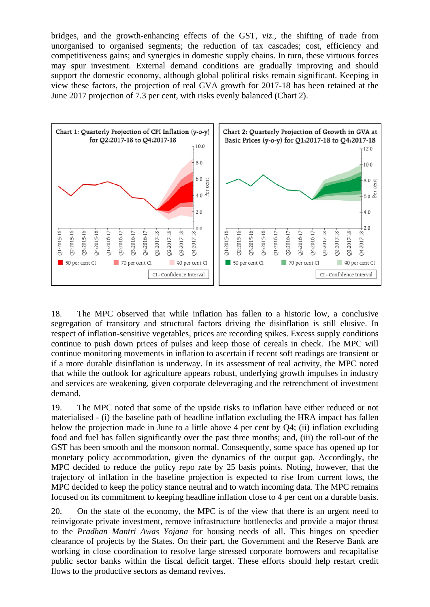bridges, and the growth-enhancing effects of the GST, *viz*., the shifting of trade from unorganised to organised segments; the reduction of tax cascades; cost, efficiency and competitiveness gains; and synergies in domestic supply chains. In turn, these virtuous forces may spur investment. External demand conditions are gradually improving and should support the domestic economy, although global political risks remain significant. Keeping in view these factors, the projection of real GVA growth for 2017-18 has been retained at the June 2017 projection of 7.3 per cent, with risks evenly balanced (Chart 2).



18. The MPC observed that while inflation has fallen to a historic low, a conclusive segregation of transitory and structural factors driving the disinflation is still elusive. In respect of inflation-sensitive vegetables, prices are recording spikes. Excess supply conditions continue to push down prices of pulses and keep those of cereals in check. The MPC will continue monitoring movements in inflation to ascertain if recent soft readings are transient or if a more durable disinflation is underway. In its assessment of real activity, the MPC noted that while the outlook for agriculture appears robust, underlying growth impulses in industry and services are weakening, given corporate deleveraging and the retrenchment of investment demand.

19. The MPC noted that some of the upside risks to inflation have either reduced or not materialised - (i) the baseline path of headline inflation excluding the HRA impact has fallen below the projection made in June to a little above 4 per cent by Q4; (ii) inflation excluding food and fuel has fallen significantly over the past three months; and, (iii) the roll-out of the GST has been smooth and the monsoon normal. Consequently, some space has opened up for monetary policy accommodation, given the dynamics of the output gap. Accordingly, the MPC decided to reduce the policy repo rate by 25 basis points. Noting, however, that the trajectory of inflation in the baseline projection is expected to rise from current lows, the MPC decided to keep the policy stance neutral and to watch incoming data. The MPC remains focused on its commitment to keeping headline inflation close to 4 per cent on a durable basis.

20. On the state of the economy, the MPC is of the view that there is an urgent need to reinvigorate private investment, remove infrastructure bottlenecks and provide a major thrust to the *Pradhan Mantri Awas Yojana* for housing needs of all. This hinges on speedier clearance of projects by the States. On their part, the Government and the Reserve Bank are working in close coordination to resolve large stressed corporate borrowers and recapitalise public sector banks within the fiscal deficit target. These efforts should help restart credit flows to the productive sectors as demand revives.